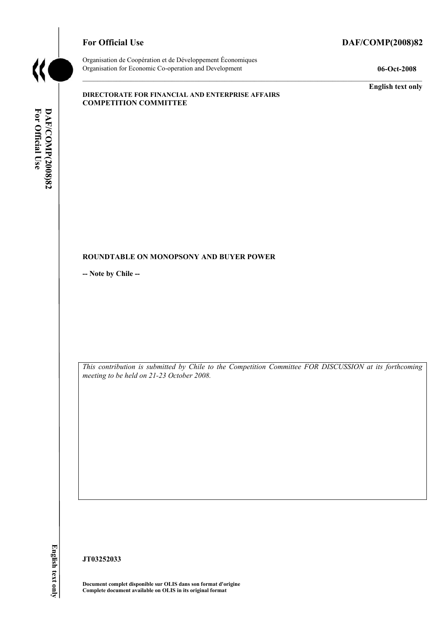

# For Official Use DAF/COMP(2008)82

Organisation de Coopération et de Développement Économiques Organisation for Economic Co-operation and Development **06-Oct-2008** 

**English text only** 

#### **DIRECTORATE FOR FINANCIAL AND ENTERPRISE AFFAIRS COMPETITION COMMITTEE**

# For Official Use **DAF/COMP(2008)82 For Official Use DAF/COMP(2008)82 English text only**

#### **ROUNDTABLE ON MONOPSONY AND BUYER POWER**

**-- Note by Chile --** 

*This contribution is submitted by Chile to the Competition Committee FOR DISCUSSION at its forthcoming meeting to be held on 21-23 October 2008.* 

**JT03252033** 

**Document complet disponible sur OLIS dans son format d'origine Complete document available on OLIS in its original format**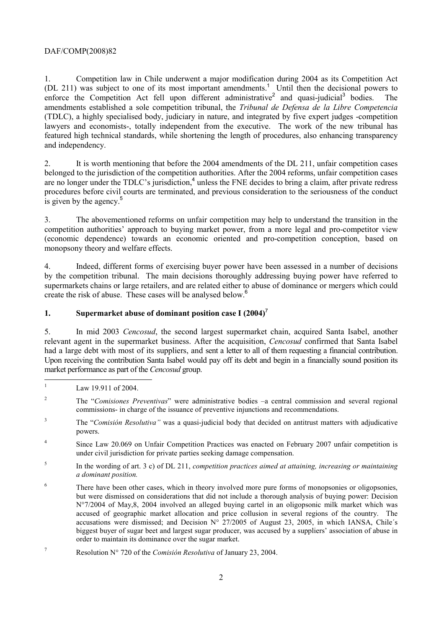#### DAF/COMP(2008)82

1. Competition law in Chile underwent a major modification during 2004 as its Competition Act (DL 211) was subject to one of its most important amendments.<sup>1</sup> Until then the decisional powers to enforce the Competition Act fell upon different administrative<sup>2</sup> and quasi-judicial<sup>3</sup> bodies. The amendments established a sole competition tribunal, the *Tribunal de Defensa de la Libre Competencia*  (TDLC), a highly specialised body, judiciary in nature, and integrated by five expert judges -competition lawyers and economists-, totally independent from the executive. The work of the new tribunal has featured high technical standards, while shortening the length of procedures, also enhancing transparency and independency.

2. It is worth mentioning that before the 2004 amendments of the DL 211, unfair competition cases belonged to the jurisdiction of the competition authorities. After the 2004 reforms, unfair competition cases are no longer under the TDLC's jurisdiction,<sup>4</sup> unless the FNE decides to bring a claim, after private redress procedures before civil courts are terminated, and previous consideration to the seriousness of the conduct is given by the agency. $5$ 

3. The abovementioned reforms on unfair competition may help to understand the transition in the competition authorities' approach to buying market power, from a more legal and pro-competitor view (economic dependence) towards an economic oriented and pro-competition conception, based on monopsony theory and welfare effects.

4. Indeed, different forms of exercising buyer power have been assessed in a number of decisions by the competition tribunal. The main decisions thoroughly addressing buying power have referred to supermarkets chains or large retailers, and are related either to abuse of dominance or mergers which could create the risk of abuse. These cases will be analysed below.<sup>6</sup>

#### **1. Supermarket abuse of dominant position case I (2004)**<sup>7</sup>

5. In mid 2003 *Cencosud*, the second largest supermarket chain, acquired Santa Isabel, another relevant agent in the supermarket business. After the acquisition, *Cencosud* confirmed that Santa Isabel had a large debt with most of its suppliers, and sent a letter to all of them requesting a financial contribution. Upon receiving the contribution Santa Isabel would pay off its debt and begin in a financially sound position its market performance as part of the *Cencosud* group.

<sup>|&</sup>lt;br>|<br>| Law 19.911 of 2004.

<sup>2</sup> The "*Comisiones Preventivas*" were administrative bodies –a central commission and several regional commissions- in charge of the issuance of preventive injunctions and recommendations.

<sup>3</sup> The "*Comisión Resolutiva"* was a quasi-judicial body that decided on antitrust matters with adjudicative powers.

<sup>4</sup> Since Law 20.069 on Unfair Competition Practices was enacted on February 2007 unfair competition is under civil jurisdiction for private parties seeking damage compensation.

<sup>5</sup> In the wording of art. 3 c) of DL 211, *competition practices aimed at attaining, increasing or maintaining a dominant position.*

<sup>6</sup> There have been other cases, which in theory involved more pure forms of monopsonies or oligopsonies, but were dismissed on considerations that did not include a thorough analysis of buying power: Decision N°7/2004 of May,8, 2004 involved an alleged buying cartel in an oligopsonic milk market which was accused of geographic market allocation and price collusion in several regions of the country. The accusations were dismissed; and Decision  $N^{\circ}$  27/2005 of August 23, 2005, in which IANSA, Chile's biggest buyer of sugar beet and largest sugar producer, was accused by a suppliers' association of abuse in order to maintain its dominance over the sugar market.

<sup>7</sup> Resolution N° 720 of the *Comisión Resolutiva* of January 23, 2004.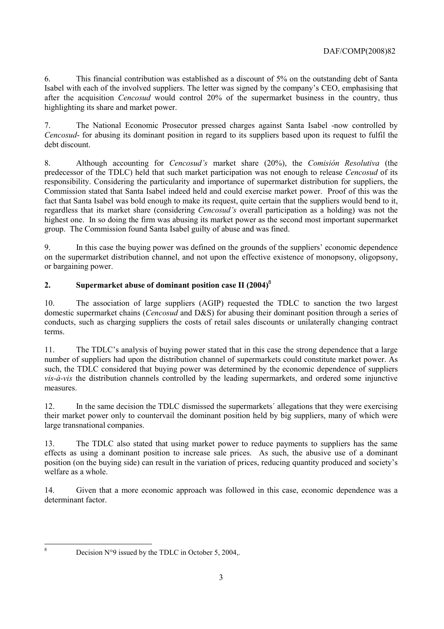6. This financial contribution was established as a discount of 5% on the outstanding debt of Santa Isabel with each of the involved suppliers. The letter was signed by the company's CEO, emphasising that after the acquisition *Cencosud* would control 20% of the supermarket business in the country, thus highlighting its share and market power.

7. The National Economic Prosecutor pressed charges against Santa Isabel -now controlled by *Cencosud*- for abusing its dominant position in regard to its suppliers based upon its request to fulfil the debt discount.

8. Although accounting for *Cencosud's* market share (20%), the *Comisión Resolutiva* (the predecessor of the TDLC) held that such market participation was not enough to release *Cencosud* of its responsibility. Considering the particularity and importance of supermarket distribution for suppliers, the Commission stated that Santa Isabel indeed held and could exercise market power. Proof of this was the fact that Santa Isabel was bold enough to make its request, quite certain that the suppliers would bend to it, regardless that its market share (considering *Cencosud's* overall participation as a holding) was not the highest one. In so doing the firm was abusing its market power as the second most important supermarket group. The Commission found Santa Isabel guilty of abuse and was fined.

9. In this case the buying power was defined on the grounds of the suppliers' economic dependence on the supermarket distribution channel, and not upon the effective existence of monopsony, oligopsony, or bargaining power.

## **2. Supermarket abuse of dominant position case II (2004)**<sup>8</sup>

10. The association of large suppliers (AGIP) requested the TDLC to sanction the two largest domestic supermarket chains (*Cencosud* and D&S) for abusing their dominant position through a series of conducts, such as charging suppliers the costs of retail sales discounts or unilaterally changing contract terms.

11. The TDLC's analysis of buying power stated that in this case the strong dependence that a large number of suppliers had upon the distribution channel of supermarkets could constitute market power. As such, the TDLC considered that buying power was determined by the economic dependence of suppliers *vis-à-vis* the distribution channels controlled by the leading supermarkets, and ordered some injunctive measures.

12. In the same decision the TDLC dismissed the supermarkets´ allegations that they were exercising their market power only to countervail the dominant position held by big suppliers, many of which were large transnational companies.

13. The TDLC also stated that using market power to reduce payments to suppliers has the same effects as using a dominant position to increase sale prices. As such, the abusive use of a dominant position (on the buying side) can result in the variation of prices, reducing quantity produced and society's welfare as a whole.

14. Given that a more economic approach was followed in this case, economic dependence was a determinant factor.

8

Decision  $N^{\circ}9$  issued by the TDLC in October 5, 2004,.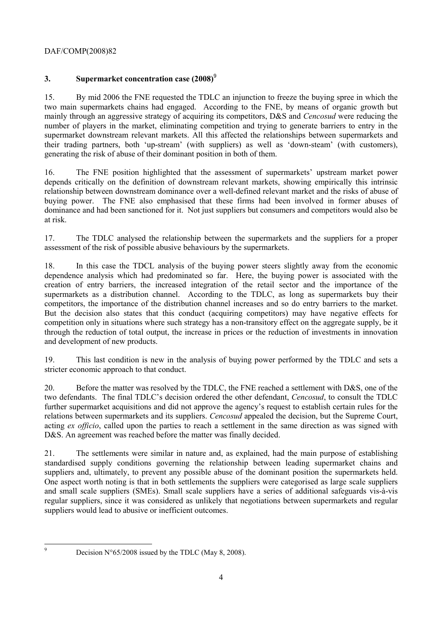## DAF/COMP(2008)82

# **3. Supermarket concentration case (2008)**<sup>9</sup>

15. By mid 2006 the FNE requested the TDLC an injunction to freeze the buying spree in which the two main supermarkets chains had engaged. According to the FNE, by means of organic growth but mainly through an aggressive strategy of acquiring its competitors, D&S and *Cencosud* were reducing the number of players in the market, eliminating competition and trying to generate barriers to entry in the supermarket downstream relevant markets. All this affected the relationships between supermarkets and their trading partners, both 'up-stream' (with suppliers) as well as 'down-steam' (with customers), generating the risk of abuse of their dominant position in both of them.

16. The FNE position highlighted that the assessment of supermarkets' upstream market power depends critically on the definition of downstream relevant markets, showing empirically this intrinsic relationship between downstream dominance over a well-defined relevant market and the risks of abuse of buying power. The FNE also emphasised that these firms had been involved in former abuses of dominance and had been sanctioned for it. Not just suppliers but consumers and competitors would also be at risk.

17. The TDLC analysed the relationship between the supermarkets and the suppliers for a proper assessment of the risk of possible abusive behaviours by the supermarkets.

18. In this case the TDCL analysis of the buying power steers slightly away from the economic dependence analysis which had predominated so far. Here, the buying power is associated with the creation of entry barriers, the increased integration of the retail sector and the importance of the supermarkets as a distribution channel. According to the TDLC, as long as supermarkets buy their competitors, the importance of the distribution channel increases and so do entry barriers to the market. But the decision also states that this conduct (acquiring competitors) may have negative effects for competition only in situations where such strategy has a non-transitory effect on the aggregate supply, be it through the reduction of total output, the increase in prices or the reduction of investments in innovation and development of new products.

19. This last condition is new in the analysis of buying power performed by the TDLC and sets a stricter economic approach to that conduct.

20. Before the matter was resolved by the TDLC, the FNE reached a settlement with D&S, one of the two defendants. The final TDLC's decision ordered the other defendant, *Cencosud*, to consult the TDLC further supermarket acquisitions and did not approve the agency's request to establish certain rules for the relations between supermarkets and its suppliers. *Cencosud* appealed the decision, but the Supreme Court, acting *ex officio*, called upon the parties to reach a settlement in the same direction as was signed with D&S. An agreement was reached before the matter was finally decided.

21. The settlements were similar in nature and, as explained, had the main purpose of establishing standardised supply conditions governing the relationship between leading supermarket chains and suppliers and, ultimately, to prevent any possible abuse of the dominant position the supermarkets held. One aspect worth noting is that in both settlements the suppliers were categorised as large scale suppliers and small scale suppliers (SMEs). Small scale suppliers have a series of additional safeguards vis-à-vis regular suppliers, since it was considered as unlikely that negotiations between supermarkets and regular suppliers would lead to abusive or inefficient outcomes.

 9

Decision N°65/2008 issued by the TDLC (May 8, 2008).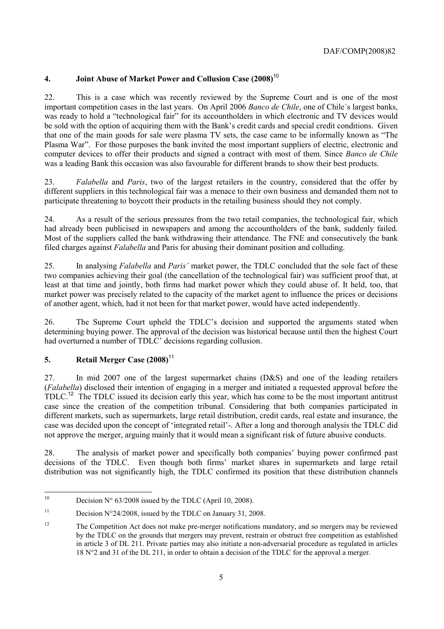# **4. Joint Abuse of Market Power and Collusion Case (2008)**<sup>10</sup>

22. This is a case which was recently reviewed by the Supreme Court and is one of the most important competition cases in the last years. On April 2006 *Banco de Chile*, one of Chile´s largest banks, was ready to hold a "technological fair" for its accountholders in which electronic and TV devices would be sold with the option of acquiring them with the Bank's credit cards and special credit conditions. Given that one of the main goods for sale were plasma TV sets, the case came to be informally known as "The Plasma War". For those purposes the bank invited the most important suppliers of electric, electronic and computer devices to offer their products and signed a contract with most of them. Since *Banco de Chile* was a leading Bank this occasion was also favourable for different brands to show their best products.

23. *Falabella* and *Paris*, two of the largest retailers in the country, considered that the offer by different suppliers in this technological fair was a menace to their own business and demanded them not to participate threatening to boycott their products in the retailing business should they not comply.

24. As a result of the serious pressures from the two retail companies, the technological fair, which had already been publicised in newspapers and among the accountholders of the bank, suddenly failed. Most of the suppliers called the bank withdrawing their attendance. The FNE and consecutively the bank filed charges against *Falabella* and Paris for abusing their dominant position and colluding.

25. In analysing *Falabella* and *Paris'* market power, the TDLC concluded that the sole fact of these two companies achieving their goal (the cancellation of the technological fair) was sufficient proof that, at least at that time and jointly, both firms had market power which they could abuse of. It held, too, that market power was precisely related to the capacity of the market agent to influence the prices or decisions of another agent, which, had it not been for that market power, would have acted independently.

26. The Supreme Court upheld the TDLC's decision and supported the arguments stated when determining buying power. The approval of the decision was historical because until then the highest Court had overturned a number of TDLC' decisions regarding collusion.

# **5. Retail Merger Case (2008)**<sup>11</sup>

27. In mid 2007 one of the largest supermarket chains (D&S) and one of the leading retailers (*Falabella*) disclosed their intention of engaging in a merger and initiated a requested approval before the TDLC.<sup>12</sup> The TDLC issued its decision early this year, which has come to be the most important antitrust case since the creation of the competition tribunal. Considering that both companies participated in different markets, such as supermarkets, large retail distribution, credit cards, real estate and insurance, the case was decided upon the concept of 'integrated retail'-. After a long and thorough analysis the TDLC did not approve the merger, arguing mainly that it would mean a significant risk of future abusive conducts.

28. The analysis of market power and specifically both companies' buying power confirmed past decisions of the TDLC. Even though both firms' market shares in supermarkets and large retail distribution was not significantly high, the TDLC confirmed its position that these distribution channels

 $10<sup>10</sup>$ Decision  $N^{\circ}$  63/2008 issued by the TDLC (April 10, 2008).

<sup>&</sup>lt;sup>11</sup> Decision N°24/2008, issued by the TDLC on January 31, 2008.

<sup>&</sup>lt;sup>12</sup> The Competition Act does not make pre-merger notifications mandatory, and so mergers may be reviewed by the TDLC on the grounds that mergers may prevent, restrain or obstruct free competition as established in article 3 of DL 211. Private parties may also initiate a non-adversarial procedure as regulated in articles 18 N°2 and 31 of the DL 211, in order to obtain a decision of the TDLC for the approval a merger.